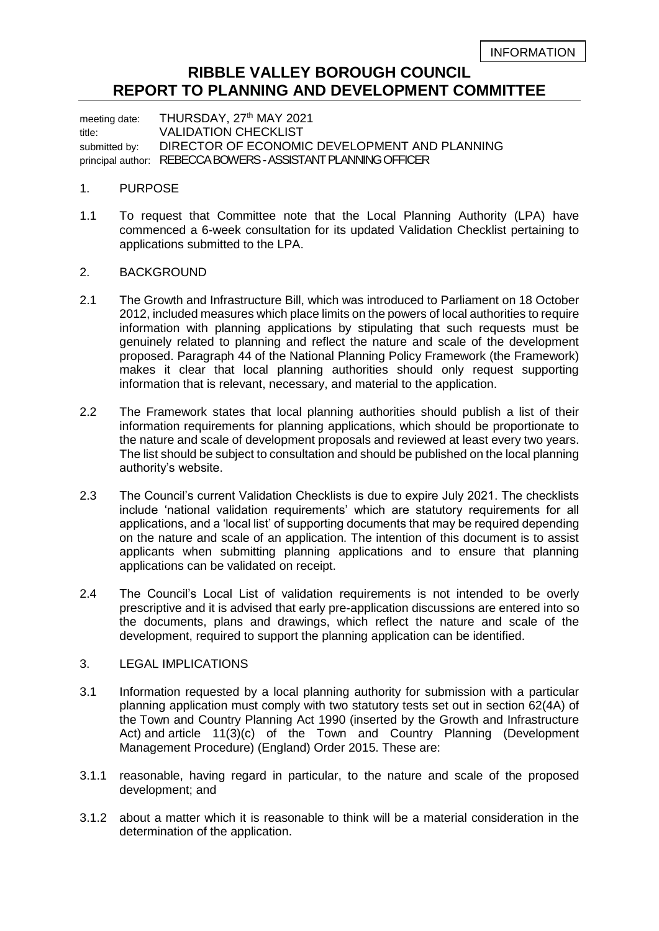# **RIBBLE VALLEY BOROUGH COUNCIL REPORT TO PLANNING AND DEVELOPMENT COMMITTEE**

meeting date: THURSDAY, 27<sup>th</sup> MAY 2021 title: VALIDATION CHECKLIST submitted by: DIRECTOR OF ECONOMIC DEVELOPMENT AND PLANNING principal author: REBECCA BOWERS-ASSISTANT PLANNING OFFICER

### 1. PURPOSE

1.1 To request that Committee note that the Local Planning Authority (LPA) have commenced a 6-week consultation for its updated Validation Checklist pertaining to applications submitted to the LPA.

## 2. BACKGROUND

- 2.1 The Growth and Infrastructure Bill, which was introduced to Parliament on 18 October 2012, included measures which place limits on the powers of local authorities to require information with planning applications by stipulating that such requests must be genuinely related to planning and reflect the nature and scale of the development proposed. Paragraph 44 of the National Planning Policy Framework (the Framework) makes it clear that local planning authorities should only request supporting information that is relevant, necessary, and material to the application.
- 2.2 The Framework states that local planning authorities should publish a list of their information requirements for planning applications, which should be proportionate to the nature and scale of development proposals and reviewed at least every two years. The list should be subject to consultation and should be published on the local planning authority's website.
- 2.3 The Council's current Validation Checklists is due to expire July 2021. The checklists include 'national validation requirements' which are statutory requirements for all applications, and a 'local list' of supporting documents that may be required depending on the nature and scale of an application. The intention of this document is to assist applicants when submitting planning applications and to ensure that planning applications can be validated on receipt.
- 2.4 The Council's Local List of validation requirements is not intended to be overly prescriptive and it is advised that early pre-application discussions are entered into so the documents, plans and drawings, which reflect the nature and scale of the development, required to support the planning application can be identified.

## 3. LEGAL IMPLICATIONS

- 3.1 Information requested by a local planning authority for submission with a particular planning application must comply with two statutory tests set out in section 62(4A) of the Town and Country Planning Act 1990 (inserted by the Growth and Infrastructure Act) and article 11(3)(c) of the Town and Country Planning (Development Management Procedure) (England) Order 2015. These are:
- 3.1.1 reasonable, having regard in particular, to the nature and scale of the proposed development; and
- 3.1.2 about a matter which it is reasonable to think will be a material consideration in the determination of the application.